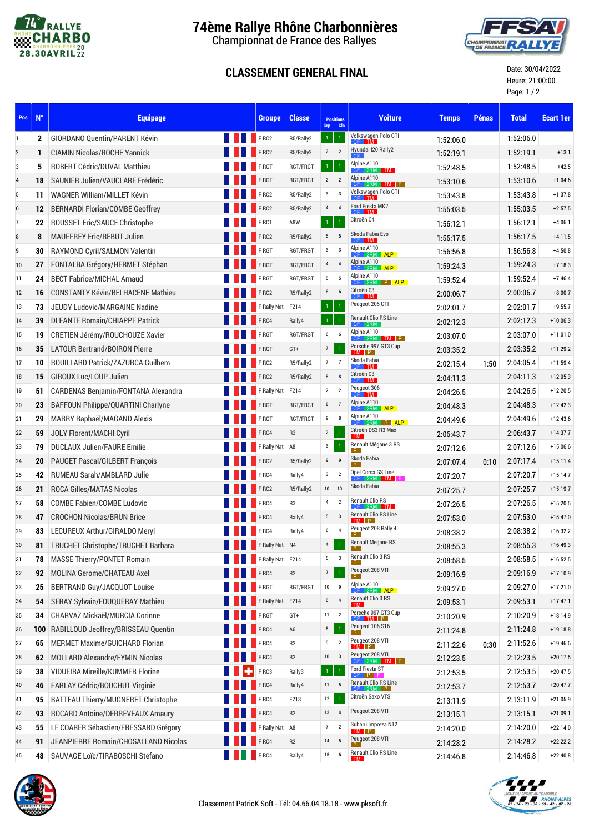

## **74ème Rallye Rhône Charbonnières**

Championnat de France des Rallyes

## **CLASSEMENT GENERAL FINAL**



Date: 30/04/2022 Heure: 21:00:00 Page: 1 / 2

| Pos              | $N^{\circ}$  | <b>Equipage</b>                          |  | <b>Groupe</b>       | <b>Classe</b>  | <b>Positions</b><br>Grp Cla |                         | <b>Voiture</b>                            | <b>Temps</b> | <b>Pénas</b> | <b>Total</b> | <b>Ecart 1er</b> |
|------------------|--------------|------------------------------------------|--|---------------------|----------------|-----------------------------|-------------------------|-------------------------------------------|--------------|--------------|--------------|------------------|
| $\mathbf{1}$     | $\mathbf{2}$ | <b>GIORDANO Quentin/PARENT Kévin</b>     |  | <b>EXAMPLE FRC2</b> | R5/Rally2      | $\mathbf{1}$                |                         | Volkswagen Polo GTI<br>$CF$ $TM$          | 1:52:06.0    |              | 1.52.06.0    |                  |
| $\overline{2}$   | 1            | <b>CIAMIN Nicolas/ROCHE Yannick</b>      |  | <b>FRC2</b>         | R5/Rally2      | $\overline{2}$              | $\overline{2}$          | Hyundai I20 Rally2                        | 1:52:19.1    |              | 1:52:19.1    | $+13.1$          |
| 3                | 5            | ROBERT Cédric/DUVAL Matthieu             |  | FRGT                | RGT/FRGT       | $\mathbf{1}$                |                         | Alpine A110<br>$CF$ 2RM TM                | 1:52:48.5    |              | 1.52.48.5    | $+42.5$          |
| $\overline{4}$   | 18           | SAUNIER Julien/VAUCLARE Frédéric         |  | FRGT                | RGT/FRGT       | $2 \quad 2$                 |                         | Alpine A110<br>$TM$ $P$<br>$CF$ 2RM       | 1:53:10.6    |              | 1.53.10.6    | $+1:04.6$        |
| 5                | 11           | WAGNER William/MILLET Kévin              |  | FRC2                | R5/Rally2      | $\mathbf{3}$                | $\overline{\mathbf{3}}$ | Volkswagen Polo GTI<br>$CF$ $TM$          | 1:53:43.8    |              | 1.53.43.8    | $+1:37.8$        |
| $\boldsymbol{6}$ | 12           | <b>BERNARDI Florian/COMBE Geoffrey</b>   |  | FRC2                | R5/Rally2      | $\overline{4}$              | $\overline{4}$          | Ford Fiesta MK2<br>CF I TM                | 1:55:03.5    |              | 1.55.03.5    | $+2:57.5$        |
| $\overline{7}$   | 22           | <b>ROUSSET Eric/SAUCE Christophe</b>     |  | FRC1                | A8W            | $\mathbf{1}$                | $\overline{1}$          | Citroën C4                                | 1:56:12.1    |              | 1.56.12.1    | $+4:06.1$        |
| 8                | 8            | <b>MAUFFREY Eric/REBUT Julien</b>        |  | FRC2                | R5/Rally2      | 5                           | 5                       | Skoda Fabia Evo<br>TM -                   | 1:56:17.5    |              | 1.56.17.5    | $+4:11.5$        |
| 9                | 30           | RAYMOND Cyril/SALMON Valentin            |  | FRGT                | RGT/FRGT       | $\mathbf{3}$                | $\overline{\mathbf{3}}$ | Alpine A110<br>CF 2RM ALP                 | 1:56:56.8    |              | 1.56.56.8    | $+4:50.8$        |
| 10               | 27           | FONTALBA Grégory/HERMET Stéphan          |  | FRGT                | RGT/FRGT       | $\overline{4}$              | $\overline{4}$          | Alpine A110<br><b>ALP</b><br>CF 2RM       | 1:59:24.3    |              | 1.59.24.3    | $+7:18.3$        |
| 11               | 24           | <b>BECT Fabrice/MICHAL Arnaud</b>        |  | FRGT                | RGT/FRGT       | 5 <sub>5</sub>              | 5                       | Alpine A110<br>$CF$ 2RM $P$ ALP           | 1:59:52.4    |              | 1.59.52.4    | $+7:46.4$        |
| 12               | 16           | <b>CONSTANTY Kévin/BELHACENE Mathieu</b> |  | FRC2                | R5/Rally2      | 6                           | 6                       | Citroën C3<br>$CF$ $TM$                   | 2:00:06.7    |              | 2:00:06.7    | $+8:00.7$        |
| 13               | 73           | JEUDY Ludovic/MARGAINE Nadine            |  | F Rally Nat F214    |                | -1                          |                         | Peugeot 205 GTI                           | 2:02:01.7    |              | 2:02:01.7    | $+9:55.7$        |
| 14               | 39           | DI FANTE Romain/CHIAPPE Patrick          |  | FRC4                | Rally4         | $\mathbf{1}$                |                         | Renault Clio RS Line<br>$CF$   2RM        | 2:02:12.3    |              | 2:02:12.3    | $+10:06.3$       |
| 15               | 19           | CRETIEN Jérémy/ROUCHOUZE Xavier          |  | FRGT                | RGT/FRGT       | $6\overline{6}$             | 6                       | Alpine A110<br>$CF$ 2RM $TM$ $P$          | 2.03.07.0    |              | 2:03:07.0    | $+11:01.0$       |
| 16               | 35           | <b>LATOUR Bertrand/BOIRON Pierre</b>     |  | FRGT                | $GT+$          | $\overline{7}$              | $\mathbf{1}$            | Porsche 997 GT3 Cup                       | 2:03:35.2    |              | 2:03:35.2    | $+11:29.2$       |
| 17               | 10           | ROUILLARD Patrick/ZAZURCA Guilhem        |  | $F$ RC2             | R5/Rally2      | 7 <sub>7</sub>              |                         | Skoda Fabia<br>CF TM                      | 2:02:15.4    | 1:50         | 2:04:05.4    | $+11:59.4$       |
| 18               | 15           | GIROUX Luc/LOUP Julien                   |  | FRC2                | R5/Rally2      | 8                           | 8                       | Citroën C3<br>$CF$ $TM$                   | 2:04:11.3    |              | 2:04:11.3    | $+12:05.3$       |
| 19               | 51           | CARDENAS Benjamin/FONTANA Alexandra      |  | F Rally Nat         | F214           | $\overline{2}$              | $\overline{2}$          | Peugeot 306<br>CF TM                      | 2:04:26.5    |              | 2:04:26.5    | $+12:20.5$       |
| 20               | 23           | BAFFOUN Philippe/QUARTINI Charlyne       |  | FRGT                | RGT/FRGT       | 8                           | $\overline{7}$          | Alpine A110<br><b>ALP</b><br>$CF$ 2RM     | 2:04:48.3    |              | 2:04:48.3    | $+12:42.3$       |
| 21               | 29           | MARRY Raphaël/MAGAND Alexis              |  | FRGT                | RGT/FRGT       | 9                           | 8                       | Alpine A110<br>$CF$ 2RM $P$ ALP           | 2:04:49.6    |              | 2:04:49.6    | $+12:43.6$       |
| 22               | 59           | <b>JOLY Florent/MACHI Cyril</b>          |  | F <sub>RC4</sub>    | R <sub>3</sub> | $\overline{2}$              |                         | Citroën DS3 R3 Max<br>TM -                | 2:06:43.7    |              | 2:06:43.7    | $+14:37.7$       |
| 23               | 79           | <b>DUCLAUX Julien/FAURE Emilie</b>       |  | F Rally Nat         | A8             | 3                           | $\overline{1}$          | Renault Mégane 3 RS                       | 2:07:12.6    |              | 2:07:12.6    | $+15:06.6$       |
| 24               | 20           | PAUGET Pascal/GILBERT François           |  | $F$ RC2             | R5/Rally2      | 9                           | 9                       | Skoda Fabia                               | 2:07:07.4    | 0:10         | 2:07:17.4    | $+15:11.4$       |
| 25               | 42           | RUMEAU Sarah/AMBLARD Julie               |  | FRC4                | Rally4         | $\mathbf{3}$                | $\overline{2}$          | Opel Corsa GS Line<br>$CF$   2RM   TM   F | 2:07:20.7    |              | 2:07:20.7    | $+15:14.7$       |
| 26               | 21           | <b>ROCA Gilles/MATAS Nicolas</b>         |  | F RC2               | R5/Rally2      | 10 10                       |                         | Skoda Fabia                               | 2:07:25.7    |              | 2:07:25.7    | $+15:19.7$       |
| 27               | 58           | <b>COMBE Fabien/COMBE Ludovic</b>        |  | F RC4               | R <sub>3</sub> | $\overline{4}$              | $\overline{2}$          | <b>Renault Clio RS</b><br>$CF$ 2RM TM     | 2:07:26.5    |              | 2:07:26.5    | $+15:20.5$       |
| 28               | 47           | <b>CROCHON Nicolas/BRUN Brice</b>        |  | FRC4                | Rally4         | 5 <sub>5</sub>              | $_{3}$                  | <b>Renault Clio RS Line</b><br>TM P       | 2:07:53.0    |              | 2:07:53.0    | $+15:47.0$       |
| 29               | 83           | LECUREUX Arthur/GIRALDO Meryl            |  | F RC4               | Rally4         | 6                           | $\overline{4}$          | Peugeot 208 Rally 4                       | 2:08:38.2    |              | 2:08:38.2    | $+16:32.2$       |
| 30               | 81           | TRUCHET Christophe/TRUCHET Barbara       |  | F Rally Nat N4      |                | $\overline{4}$              | $\overline{1}$          | <b>Renault Megane RS</b>                  | 2:08:55.3    |              | 2:08:55.3    | $+16:49.3$       |
| 31               | 78           | <b>MASSE Thierry/PONTET Romain</b>       |  | F Rally Nat F214    |                | 5                           | $\overline{\mathbf{3}}$ | Renault Clio 3 RS<br>P.                   | 2:08:58.5    |              | 2:08:58.5    | $+16:52.5$       |
| 32               | 92           | MOLINA Gerome/CHATEAU Axel               |  | FRC4                | R2             | $\overline{7}$              | $\overline{1}$          | Peugeot 208 VTI<br>P.                     | 2:09:16.9    |              | 2:09:16.9    | $+17:10.9$       |
| 33               | 25           | BERTRAND Guy/JACQUOT Louise              |  | FRGT                | RGT/FRGT       | $10 \qquad 9$               |                         | Alpine A110<br>ALP  <br>$CF$ 2RM          | 2:09:27.0    |              | 2:09:27.0    | $+17:21.0$       |
| 34               | 54           | SERAY Sylvain/FOUQUERAY Mathieu          |  | F Rally Nat F214    |                | 6                           | $\overline{4}$          | Renault Clio 3 RS<br>TM.                  | 2:09:53.1    |              | 2:09:53.1    | $+17:47.1$       |
| 35               | 34           | <b>CHARVAZ Mickael/MURCIA Corinne</b>    |  | F RGT               | GT+            | $11 \quad 2$                |                         | Porsche 997 GT3 Cup<br>CF TM P            | 2:10:20.9    |              | 2:10:20.9    | $+18:14.9$       |
| 36               | 100          | RABILLOUD Jeoffrey/BRISSEAU Quentin      |  | FRC4                | A6             | 8                           | $\overline{1}$          | Peugeot 106 S16<br>P.                     | 2:11:24.8    |              | 2:11:24.8    | $+19:18.8$       |
| 37               | 65           | <b>MERMET Maxime/GUICHARD Florian</b>    |  | FRC4                | R <sub>2</sub> | 9                           | $\overline{2}$          | Peugeot 208 VTI<br>TM P                   | 2:11:22.6    | 0:30         | 2:11:52.6    | $+19:46.6$       |
| 38               | 62           | MOLLARD Alexandre/EYMIN Nicolas          |  | F RC4               | R <sub>2</sub> | $10 \qquad 3$               |                         | Peugeot 208 VTI<br>$CF$ 2RM $TM$ $P$      | 2:12:23.5    |              | 2:12:23.5    | $+20:17.5$       |
| 39               | 38           | <b>VIDUEIRA Mireille/KUMMER Florine</b>  |  | F RC3               | Rally3         | $\mathbf{1}$                |                         | Ford Fiesta ST<br>$CF$ $P$ $F$            | 2:12:53.5    |              | 2:12:53.5    | $+20:47.5$       |
| 40               | 46           | FARLAY Cédric/BOUCHUT Virginie           |  | FRC4                | Rally4         | $11 \quad 5$                |                         | Renault Clio RS Line<br>$CF$ 2RM $P$      | 2:12:53.7    |              | 2:12:53.7    | $+20:47.7$       |
| 41               | 95           | BATTEAU Thierry/MUGNERET Christophe      |  | F RC4               | F213           | 12                          | $\mathbf{1}$            | Citroën Saxo VTS                          | 2:13:11.9    |              | 2:13:11.9    | $+21:05.9$       |
| 42               | 93           | ROCARD Antoine/DERREVEAUX Amaury         |  | FRC4                | R2             | 13 4                        |                         | Peugeot 208 VTI                           | 2:13:15.1    |              | 2:13:15.1    | $+21:09.1$       |
| 43               | 55           | LE COARER Sébastien/FRESSARD Grégory     |  | F Rally Nat A8      |                | $\overline{7}$              | $\overline{2}$          | Subaru Impreza N12<br>TM P                | 2:14:20.0    |              | 2:14:20.0    | $+22:14.0$       |
| 44               | 91           | JEANPIERRE Romain/CHOSALLAND Nicolas     |  | F <sub>RC4</sub>    | R <sub>2</sub> | 14 5                        |                         | Peugeot 208 VTI<br>P                      | 2:14:28.2    |              | 2:14:28.2    | $+22:22.2$       |
| 45               | 48           | SAUVAGE Loïc/TIRABOSCHI Stefano          |  | <b>FRC4</b>         | Rally4         | 15 6                        |                         | Renault Clio RS Line<br>TM.               | 2:14:46.8    |              | 2:14:46.8    | $+22:40.8$       |